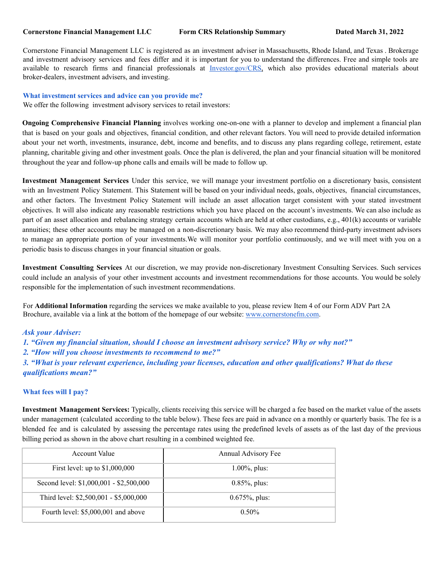#### **Cornerstone Financial Management LLC Form CRS Relationship Summary Dated March 31, 2022**

Cornerstone Financial Management LLC is registered as an investment adviser in Massachusetts, Rhode Island, and Texas . Brokerage and investment advisory services and fees differ and it is important for you to understand the differences. Free and simple tools are available to research firms and financial professionals at Investor.gov/CRS, which also provides educational materials about broker-dealers, investment advisers, and investing.

### **What investment services and advice can you provide me?**

We offer the following investment advisory services to retail investors:

**Ongoing Comprehensive Financial Planning** involves working one-on-one with a planner to develop and implement a financial plan that is based on your goals and objectives, financial condition, and other relevant factors. You will need to provide detailed information about your net worth, investments, insurance, debt, income and benefits, and to discuss any plans regarding college, retirement, estate planning, charitable giving and other investment goals. Once the plan is delivered, the plan and your financial situation will be monitored throughout the year and follow-up phone calls and emails will be made to follow up.

**Investment Management Services** Under this service, we will manage your investment portfolio on a discretionary basis, consistent with an Investment Policy Statement. This Statement will be based on your individual needs, goals, objectives, financial circumstances, and other factors. The Investment Policy Statement will include an asset allocation target consistent with your stated investment objectives. It will also indicate any reasonable restrictions which you have placed on the account's investments. We can also include as part of an asset allocation and rebalancing strategy certain accounts which are held at other custodians, e.g., 401(k) accounts or variable annuities; these other accounts may be managed on a non-discretionary basis. We may also recommend third-party investment advisors to manage an appropriate portion of your investments.We will monitor your portfolio continuously, and we will meet with you on a periodic basis to discuss changes in your financial situation or goals.

**Investment Consulting Services** At our discretion, we may provide non-discretionary Investment Consulting Services. Such services could include an analysis of your other investment accounts and investment recommendations for those accounts. You would be solely responsible for the implementation of such investment recommendations.

For **Additional Information** regarding the services we make available to you, please review Item 4 of our Form ADV Part 2A Brochure, available via a link at the bottom of the homepage of our website: www.cornerstonefm.com.

## *Ask your Adviser:*

- *1. "Given my financial situation, should I choose an investment advisory service? Why or why not?"*
- *2. "How will you choose investments to recommend to me?"*
- *3. "What is your relevant experience, including your licenses, education and other qualifications? What do these qualifications mean?"*

#### **What fees will I pay?**

**Investment Management Services:** Typically, clients receiving this service will be charged a fee based on the market value of the assets under management (calculated according to the table below). These fees are paid in advance on a monthly or quarterly basis. The fee is a blended fee and is calculated by assessing the percentage rates using the predefined levels of assets as of the last day of the previous billing period as shown in the above chart resulting in a combined weighted fee.

| <b>Account Value</b>                    | Annual Advisory Fee |
|-----------------------------------------|---------------------|
| First level: up to $$1,000,000$         | $1.00\%$ , plus:    |
| Second level: \$1,000,001 - \$2,500,000 | $0.85\%$ , plus:    |
| Third level: \$2,500,001 - \$5,000,000  | $0.675\%$ , plus:   |
| Fourth level: \$5,000,001 and above     | $0.50\%$            |